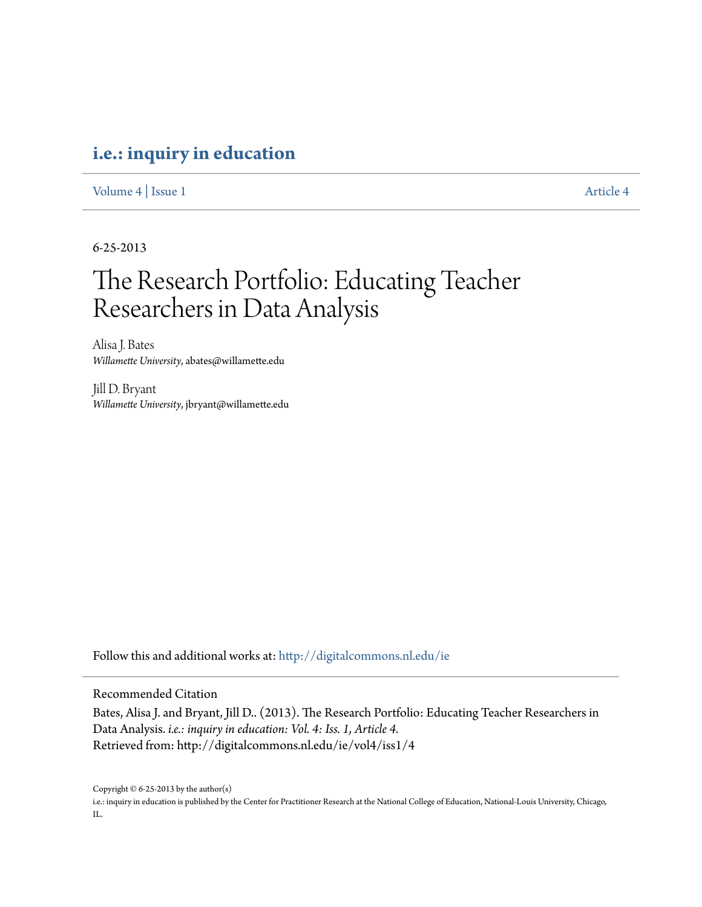### **[i.e.: inquiry in education](http://digitalcommons.nl.edu/ie?utm_source=digitalcommons.nl.edu%2Fie%2Fvol4%2Fiss1%2F4&utm_medium=PDF&utm_campaign=PDFCoverPages)**

[Volume 4](http://digitalcommons.nl.edu/ie/vol4?utm_source=digitalcommons.nl.edu%2Fie%2Fvol4%2Fiss1%2F4&utm_medium=PDF&utm_campaign=PDFCoverPages) | [Issue 1](http://digitalcommons.nl.edu/ie/vol4/iss1?utm_source=digitalcommons.nl.edu%2Fie%2Fvol4%2Fiss1%2F4&utm_medium=PDF&utm_campaign=PDFCoverPages) [Article 4](http://digitalcommons.nl.edu/ie/vol4/iss1/4?utm_source=digitalcommons.nl.edu%2Fie%2Fvol4%2Fiss1%2F4&utm_medium=PDF&utm_campaign=PDFCoverPages)

6-25-2013

## The Research Portfolio: Educating Teacher Researchers in Data Analysis

Alisa J. Bates *Willamette University*, abates@willamette.edu

Jill D. Bryant *Willamette University*, jbryant@willamette.edu

Follow this and additional works at: [http://digitalcommons.nl.edu/ie](http://digitalcommons.nl.edu/ie?utm_source=digitalcommons.nl.edu%2Fie%2Fvol4%2Fiss1%2F4&utm_medium=PDF&utm_campaign=PDFCoverPages)

Recommended Citation

Bates, Alisa J. and Bryant, Jill D.. (2013). The Research Portfolio: Educating Teacher Researchers in Data Analysis. *i.e.: inquiry in education: Vol. 4: Iss. 1, Article 4.* Retrieved from: http://digitalcommons.nl.edu/ie/vol4/iss1/4

Copyright © 6-25-2013 by the author(s)

i.e.: inquiry in education is published by the Center for Practitioner Research at the National College of Education, National-Louis University, Chicago, IL.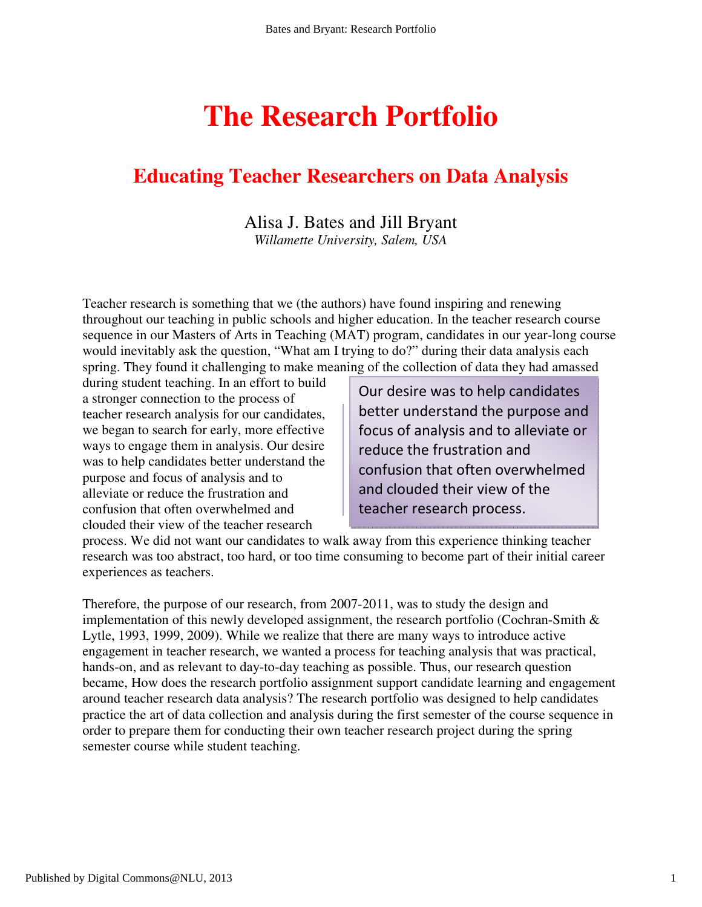# **The Research Portfolio**

## **Educating Teacher Researchers on Data Analysis**

## Alisa J. Bates and Jill Bryant

*Willamette University, Salem, USA* 

Teacher research is something that we (the authors) have found inspiring and renewing throughout our teaching in public schools and higher education. In the teacher research course sequence in our Masters of Arts in Teaching (MAT) program, candidates in our year-long course would inevitably ask the question, "What am I trying to do?" during their data analysis each spring. They found it challenging to make meaning of the collection of data they had amassed

during student teaching. In an effort to build a stronger connection to the process of teacher research analysis for our candidates, we began to search for early, more effective ways to engage them in analysis. Our desire was to help candidates better understand the purpose and focus of analysis and to alleviate or reduce the frustration and confusion that often overwhelmed and clouded their view of the teacher research

Our desire was to help candidates better understand the purpose and focus of analysis and to alleviate or reduce the frustration and confusion that often overwhelmed and clouded their view of the teacher research process.

process. We did not want our candidates to walk away from this experience thinking teacher research was too abstract, too hard, or too time consuming to become part of their initial career experiences as teachers.

Therefore, the purpose of our research, from 2007-2011, was to study the design and implementation of this newly developed assignment, the research portfolio (Cochran-Smith & Lytle, 1993, 1999, 2009). While we realize that there are many ways to introduce active engagement in teacher research, we wanted a process for teaching analysis that was practical, hands-on, and as relevant to day-to-day teaching as possible. Thus, our research question became, How does the research portfolio assignment support candidate learning and engagement around teacher research data analysis? The research portfolio was designed to help candidates practice the art of data collection and analysis during the first semester of the course sequence in order to prepare them for conducting their own teacher research project during the spring semester course while student teaching.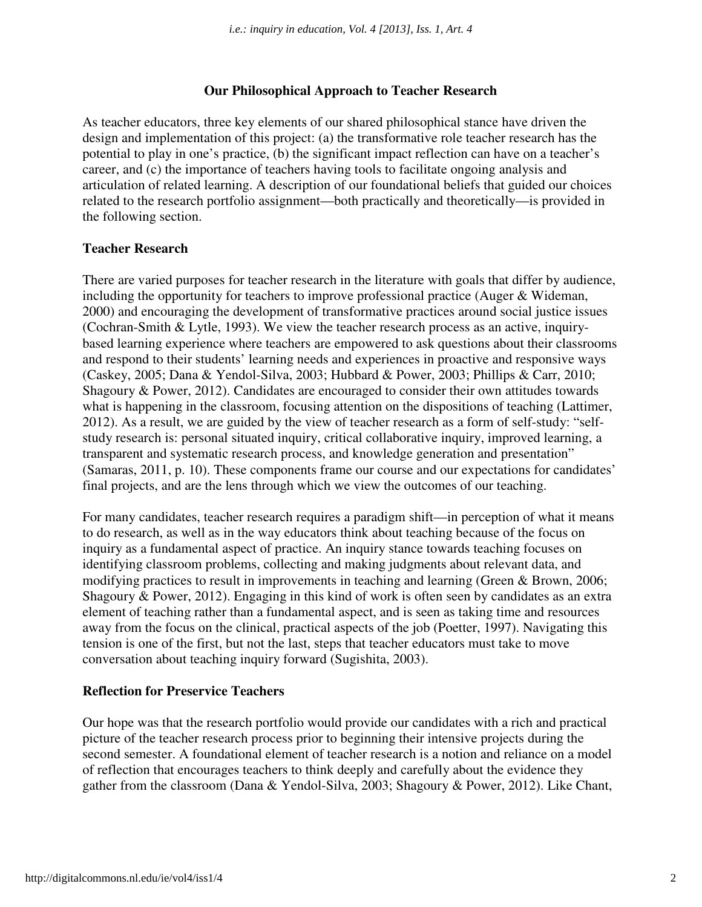#### **Our Philosophical Approach to Teacher Research**

As teacher educators, three key elements of our shared philosophical stance have driven the design and implementation of this project: (a) the transformative role teacher research has the potential to play in one's practice, (b) the significant impact reflection can have on a teacher's career, and (c) the importance of teachers having tools to facilitate ongoing analysis and articulation of related learning. A description of our foundational beliefs that guided our choices related to the research portfolio assignment—both practically and theoretically—is provided in the following section.

#### **Teacher Research**

There are varied purposes for teacher research in the literature with goals that differ by audience, including the opportunity for teachers to improve professional practice (Auger & Wideman, 2000) and encouraging the development of transformative practices around social justice issues (Cochran-Smith & Lytle, 1993). We view the teacher research process as an active, inquirybased learning experience where teachers are empowered to ask questions about their classrooms and respond to their students' learning needs and experiences in proactive and responsive ways (Caskey, 2005; Dana & Yendol-Silva, 2003; Hubbard & Power, 2003; Phillips & Carr, 2010; Shagoury & Power, 2012). Candidates are encouraged to consider their own attitudes towards what is happening in the classroom, focusing attention on the dispositions of teaching (Lattimer, 2012). As a result, we are guided by the view of teacher research as a form of self-study: "selfstudy research is: personal situated inquiry, critical collaborative inquiry, improved learning, a transparent and systematic research process, and knowledge generation and presentation" (Samaras, 2011, p. 10). These components frame our course and our expectations for candidates' final projects, and are the lens through which we view the outcomes of our teaching.

For many candidates, teacher research requires a paradigm shift—in perception of what it means to do research, as well as in the way educators think about teaching because of the focus on inquiry as a fundamental aspect of practice. An inquiry stance towards teaching focuses on identifying classroom problems, collecting and making judgments about relevant data, and modifying practices to result in improvements in teaching and learning (Green & Brown, 2006; Shagoury & Power, 2012). Engaging in this kind of work is often seen by candidates as an extra element of teaching rather than a fundamental aspect, and is seen as taking time and resources away from the focus on the clinical, practical aspects of the job (Poetter, 1997). Navigating this tension is one of the first, but not the last, steps that teacher educators must take to move conversation about teaching inquiry forward (Sugishita, 2003).

#### **Reflection for Preservice Teachers**

Our hope was that the research portfolio would provide our candidates with a rich and practical picture of the teacher research process prior to beginning their intensive projects during the second semester. A foundational element of teacher research is a notion and reliance on a model of reflection that encourages teachers to think deeply and carefully about the evidence they gather from the classroom (Dana & Yendol-Silva, 2003; Shagoury & Power, 2012). Like Chant,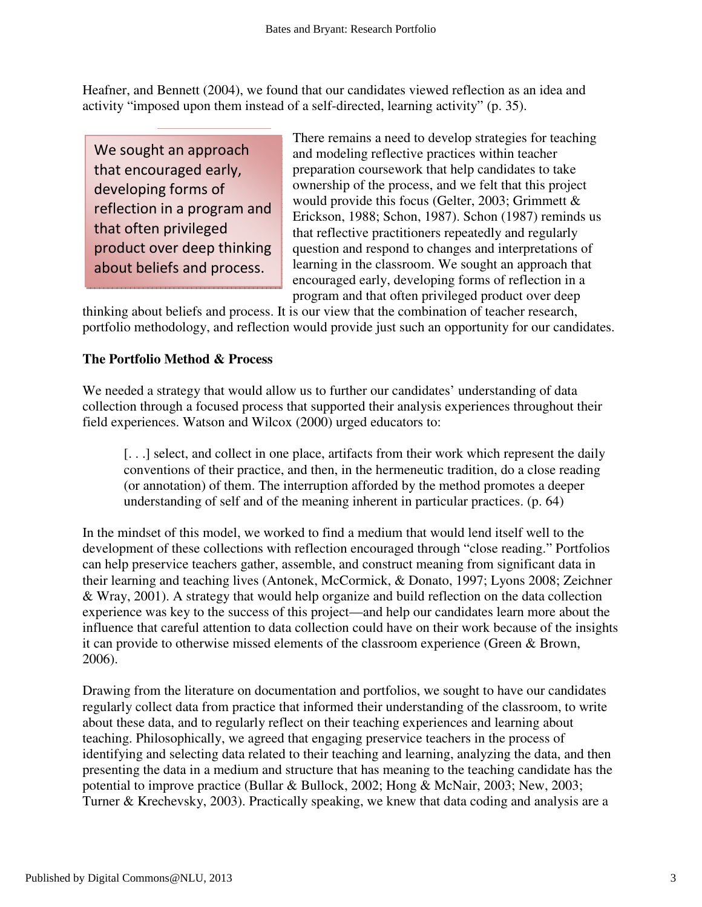Heafner, and Bennett (2004), we found that our candidates viewed reflection as an idea and activity "imposed upon them instead of a self-directed, learning activity" (p. 35).

We sought an approach that encouraged early, developing forms of reflection in a program and that often privileged product over deep thinking about beliefs and process.

There remains a need to develop strategies for teaching and modeling reflective practices within teacher preparation coursework that help candidates to take ownership of the process, and we felt that this project would provide this focus (Gelter, 2003; Grimmett & Erickson, 1988; Schon, 1987). Schon (1987) reminds us that reflective practitioners repeatedly and regularly question and respond to changes and interpretations of learning in the classroom. We sought an approach that encouraged early, developing forms of reflection in a program and that often privileged product over deep

thinking about beliefs and process. It is our view that the combination of teacher research, portfolio methodology, and reflection would provide just such an opportunity for our candidates.

#### **The Portfolio Method & Process**

We needed a strategy that would allow us to further our candidates' understanding of data collection through a focused process that supported their analysis experiences throughout their field experiences. Watson and Wilcox (2000) urged educators to:

[. . .] select, and collect in one place, artifacts from their work which represent the daily conventions of their practice, and then, in the hermeneutic tradition, do a close reading (or annotation) of them. The interruption afforded by the method promotes a deeper understanding of self and of the meaning inherent in particular practices. (p. 64)

In the mindset of this model, we worked to find a medium that would lend itself well to the development of these collections with reflection encouraged through "close reading." Portfolios can help preservice teachers gather, assemble, and construct meaning from significant data in their learning and teaching lives (Antonek, McCormick, & Donato, 1997; Lyons 2008; Zeichner & Wray, 2001). A strategy that would help organize and build reflection on the data collection experience was key to the success of this project—and help our candidates learn more about the influence that careful attention to data collection could have on their work because of the insights it can provide to otherwise missed elements of the classroom experience (Green & Brown, 2006).

Drawing from the literature on documentation and portfolios, we sought to have our candidates regularly collect data from practice that informed their understanding of the classroom, to write about these data, and to regularly reflect on their teaching experiences and learning about teaching. Philosophically, we agreed that engaging preservice teachers in the process of identifying and selecting data related to their teaching and learning, analyzing the data, and then presenting the data in a medium and structure that has meaning to the teaching candidate has the potential to improve practice (Bullar & Bullock, 2002; Hong & McNair, 2003; New, 2003; Turner & Krechevsky, 2003). Practically speaking, we knew that data coding and analysis are a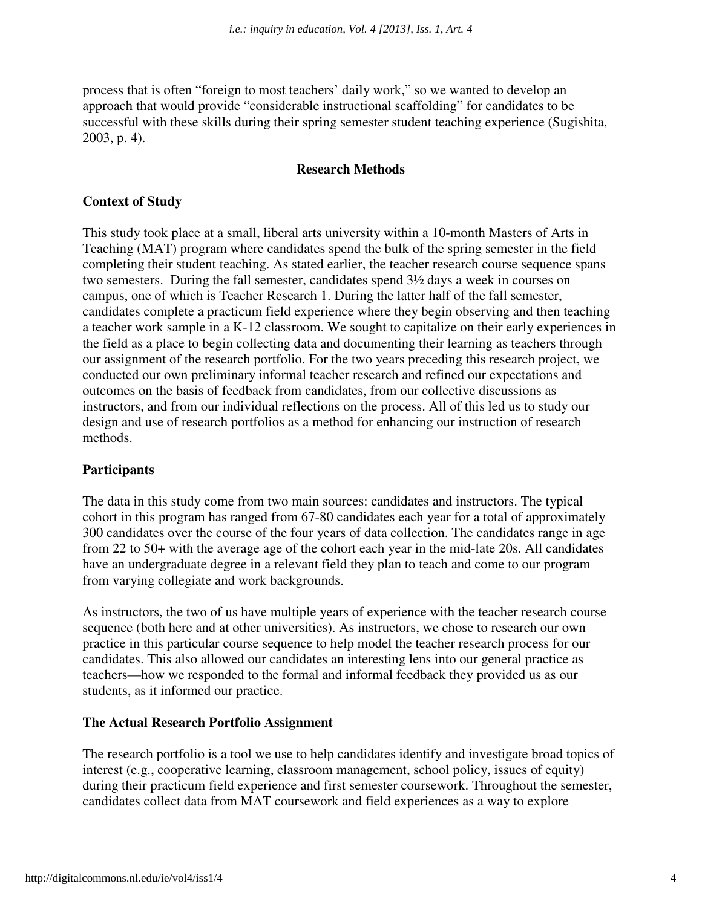process that is often "foreign to most teachers' daily work," so we wanted to develop an approach that would provide "considerable instructional scaffolding" for candidates to be successful with these skills during their spring semester student teaching experience (Sugishita, 2003, p. 4).

#### **Research Methods**

#### **Context of Study**

This study took place at a small, liberal arts university within a 10-month Masters of Arts in Teaching (MAT) program where candidates spend the bulk of the spring semester in the field completing their student teaching. As stated earlier, the teacher research course sequence spans two semesters. During the fall semester, candidates spend 3½ days a week in courses on campus, one of which is Teacher Research 1. During the latter half of the fall semester, candidates complete a practicum field experience where they begin observing and then teaching a teacher work sample in a K-12 classroom. We sought to capitalize on their early experiences in the field as a place to begin collecting data and documenting their learning as teachers through our assignment of the research portfolio. For the two years preceding this research project, we conducted our own preliminary informal teacher research and refined our expectations and outcomes on the basis of feedback from candidates, from our collective discussions as instructors, and from our individual reflections on the process. All of this led us to study our design and use of research portfolios as a method for enhancing our instruction of research methods.

#### **Participants**

The data in this study come from two main sources: candidates and instructors. The typical cohort in this program has ranged from 67-80 candidates each year for a total of approximately 300 candidates over the course of the four years of data collection. The candidates range in age from 22 to 50+ with the average age of the cohort each year in the mid-late 20s. All candidates have an undergraduate degree in a relevant field they plan to teach and come to our program from varying collegiate and work backgrounds.

As instructors, the two of us have multiple years of experience with the teacher research course sequence (both here and at other universities). As instructors, we chose to research our own practice in this particular course sequence to help model the teacher research process for our candidates. This also allowed our candidates an interesting lens into our general practice as teachers—how we responded to the formal and informal feedback they provided us as our students, as it informed our practice.

#### **The Actual Research Portfolio Assignment**

The research portfolio is a tool we use to help candidates identify and investigate broad topics of interest (e.g., cooperative learning, classroom management, school policy, issues of equity) during their practicum field experience and first semester coursework. Throughout the semester, candidates collect data from MAT coursework and field experiences as a way to explore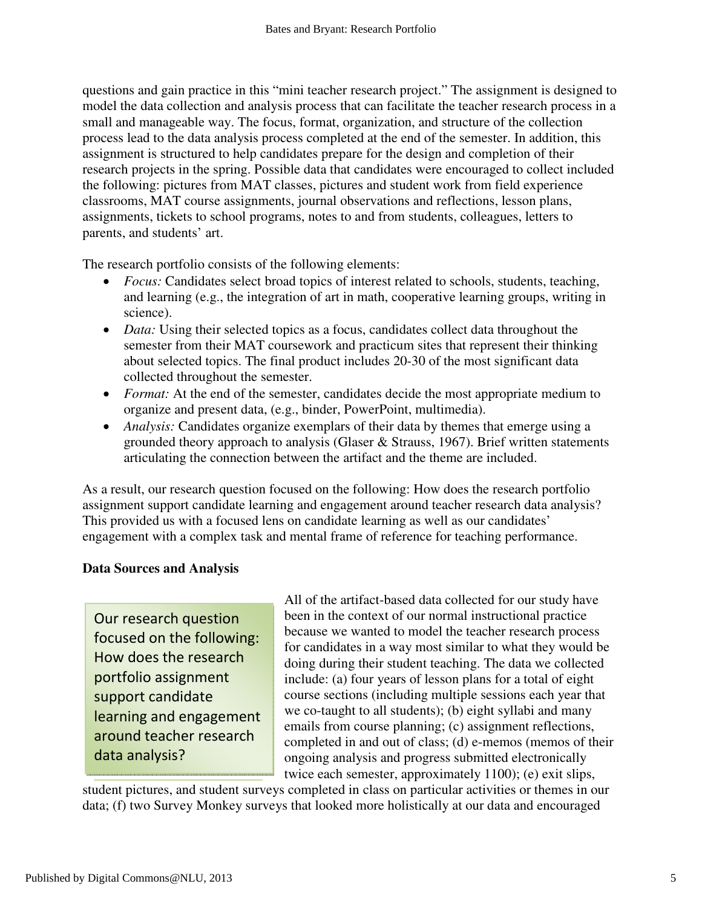questions and gain practice in this "mini teacher research project." The assignment is designed to model the data collection and analysis process that can facilitate the teacher research process in a small and manageable way. The focus, format, organization, and structure of the collection process lead to the data analysis process completed at the end of the semester. In addition, this assignment is structured to help candidates prepare for the design and completion of their research projects in the spring. Possible data that candidates were encouraged to collect included the following: pictures from MAT classes, pictures and student work from field experience classrooms, MAT course assignments, journal observations and reflections, lesson plans, assignments, tickets to school programs, notes to and from students, colleagues, letters to parents, and students' art.

The research portfolio consists of the following elements:

- *Focus:* Candidates select broad topics of interest related to schools, students, teaching, and learning (e.g., the integration of art in math, cooperative learning groups, writing in science).
- *Data:* Using their selected topics as a focus, candidates collect data throughout the semester from their MAT coursework and practicum sites that represent their thinking about selected topics. The final product includes 20-30 of the most significant data collected throughout the semester.
- *Format:* At the end of the semester, candidates decide the most appropriate medium to organize and present data, (e.g., binder, PowerPoint, multimedia).
- *Analysis:* Candidates organize exemplars of their data by themes that emerge using a grounded theory approach to analysis (Glaser & Strauss, 1967). Brief written statements articulating the connection between the artifact and the theme are included.

As a result, our research question focused on the following: How does the research portfolio assignment support candidate learning and engagement around teacher research data analysis? This provided us with a focused lens on candidate learning as well as our candidates' engagement with a complex task and mental frame of reference for teaching performance.

#### **Data Sources and Analysis**

Our research question focused on the following: How does the research portfolio assignment support candidate learning and engagement around teacher research data analysis?

All of the artifact-based data collected for our study have been in the context of our normal instructional practice because we wanted to model the teacher research process for candidates in a way most similar to what they would be doing during their student teaching. The data we collected include: (a) four years of lesson plans for a total of eight course sections (including multiple sessions each year that we co-taught to all students); (b) eight syllabi and many emails from course planning; (c) assignment reflections, completed in and out of class; (d) e-memos (memos of their ongoing analysis and progress submitted electronically twice each semester, approximately 1100); (e) exit slips,

student pictures, and student surveys completed in class on particular activities or themes in our data; (f) two Survey Monkey surveys that looked more holistically at our data and encouraged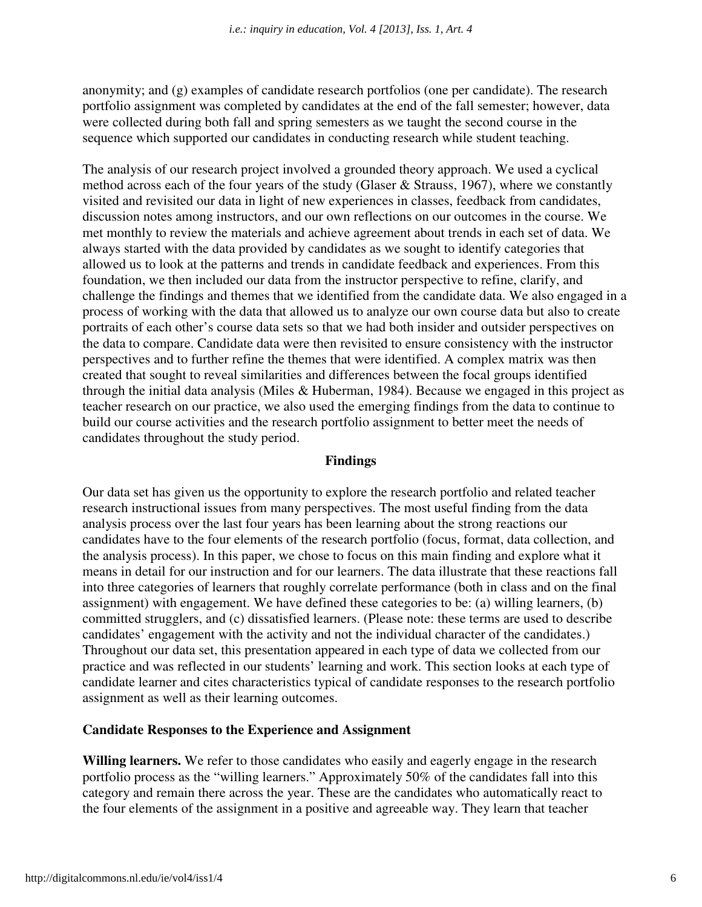anonymity; and (g) examples of candidate research portfolios (one per candidate). The research portfolio assignment was completed by candidates at the end of the fall semester; however, data were collected during both fall and spring semesters as we taught the second course in the sequence which supported our candidates in conducting research while student teaching.

The analysis of our research project involved a grounded theory approach. We used a cyclical method across each of the four years of the study (Glaser & Strauss, 1967), where we constantly visited and revisited our data in light of new experiences in classes, feedback from candidates, discussion notes among instructors, and our own reflections on our outcomes in the course. We met monthly to review the materials and achieve agreement about trends in each set of data. We always started with the data provided by candidates as we sought to identify categories that allowed us to look at the patterns and trends in candidate feedback and experiences. From this foundation, we then included our data from the instructor perspective to refine, clarify, and challenge the findings and themes that we identified from the candidate data. We also engaged in a process of working with the data that allowed us to analyze our own course data but also to create portraits of each other's course data sets so that we had both insider and outsider perspectives on the data to compare. Candidate data were then revisited to ensure consistency with the instructor perspectives and to further refine the themes that were identified. A complex matrix was then created that sought to reveal similarities and differences between the focal groups identified through the initial data analysis (Miles & Huberman, 1984). Because we engaged in this project as teacher research on our practice, we also used the emerging findings from the data to continue to build our course activities and the research portfolio assignment to better meet the needs of candidates throughout the study period.

#### **Findings**

Our data set has given us the opportunity to explore the research portfolio and related teacher research instructional issues from many perspectives. The most useful finding from the data analysis process over the last four years has been learning about the strong reactions our candidates have to the four elements of the research portfolio (focus, format, data collection, and the analysis process). In this paper, we chose to focus on this main finding and explore what it means in detail for our instruction and for our learners. The data illustrate that these reactions fall into three categories of learners that roughly correlate performance (both in class and on the final assignment) with engagement. We have defined these categories to be: (a) willing learners, (b) committed strugglers, and (c) dissatisfied learners. (Please note: these terms are used to describe candidates' engagement with the activity and not the individual character of the candidates.) Throughout our data set, this presentation appeared in each type of data we collected from our practice and was reflected in our students' learning and work. This section looks at each type of candidate learner and cites characteristics typical of candidate responses to the research portfolio assignment as well as their learning outcomes.

#### **Candidate Responses to the Experience and Assignment**

**Willing learners.** We refer to those candidates who easily and eagerly engage in the research portfolio process as the "willing learners." Approximately 50% of the candidates fall into this category and remain there across the year. These are the candidates who automatically react to the four elements of the assignment in a positive and agreeable way. They learn that teacher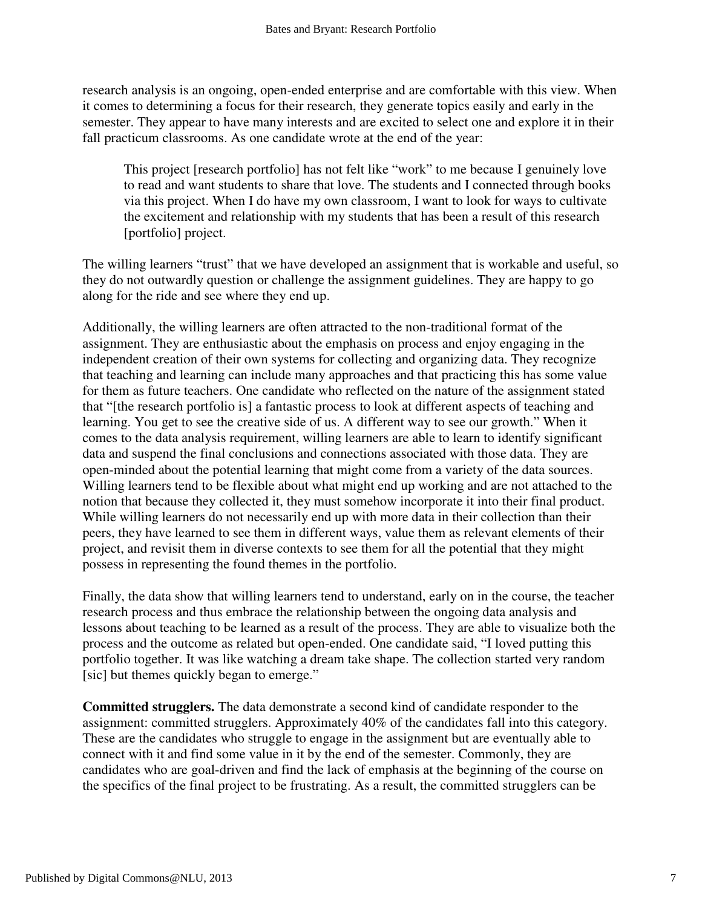research analysis is an ongoing, open-ended enterprise and are comfortable with this view. When it comes to determining a focus for their research, they generate topics easily and early in the semester. They appear to have many interests and are excited to select one and explore it in their fall practicum classrooms. As one candidate wrote at the end of the year:

This project [research portfolio] has not felt like "work" to me because I genuinely love to read and want students to share that love. The students and I connected through books via this project. When I do have my own classroom, I want to look for ways to cultivate the excitement and relationship with my students that has been a result of this research [portfolio] project.

The willing learners "trust" that we have developed an assignment that is workable and useful, so they do not outwardly question or challenge the assignment guidelines. They are happy to go along for the ride and see where they end up.

Additionally, the willing learners are often attracted to the non-traditional format of the assignment. They are enthusiastic about the emphasis on process and enjoy engaging in the independent creation of their own systems for collecting and organizing data. They recognize that teaching and learning can include many approaches and that practicing this has some value for them as future teachers. One candidate who reflected on the nature of the assignment stated that "[the research portfolio is] a fantastic process to look at different aspects of teaching and learning. You get to see the creative side of us. A different way to see our growth." When it comes to the data analysis requirement, willing learners are able to learn to identify significant data and suspend the final conclusions and connections associated with those data. They are open-minded about the potential learning that might come from a variety of the data sources. Willing learners tend to be flexible about what might end up working and are not attached to the notion that because they collected it, they must somehow incorporate it into their final product. While willing learners do not necessarily end up with more data in their collection than their peers, they have learned to see them in different ways, value them as relevant elements of their project, and revisit them in diverse contexts to see them for all the potential that they might possess in representing the found themes in the portfolio.

Finally, the data show that willing learners tend to understand, early on in the course, the teacher research process and thus embrace the relationship between the ongoing data analysis and lessons about teaching to be learned as a result of the process. They are able to visualize both the process and the outcome as related but open-ended. One candidate said, "I loved putting this portfolio together. It was like watching a dream take shape. The collection started very random [sic] but themes quickly began to emerge."

**Committed strugglers.** The data demonstrate a second kind of candidate responder to the assignment: committed strugglers. Approximately 40% of the candidates fall into this category. These are the candidates who struggle to engage in the assignment but are eventually able to connect with it and find some value in it by the end of the semester. Commonly, they are candidates who are goal-driven and find the lack of emphasis at the beginning of the course on the specifics of the final project to be frustrating. As a result, the committed strugglers can be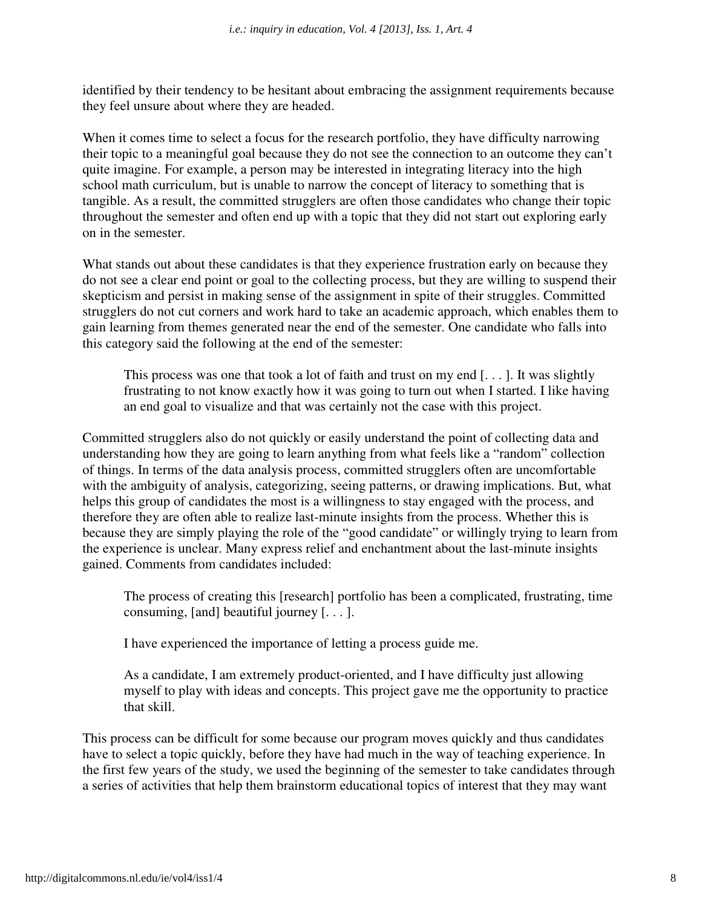identified by their tendency to be hesitant about embracing the assignment requirements because they feel unsure about where they are headed.

When it comes time to select a focus for the research portfolio, they have difficulty narrowing their topic to a meaningful goal because they do not see the connection to an outcome they can't quite imagine. For example, a person may be interested in integrating literacy into the high school math curriculum, but is unable to narrow the concept of literacy to something that is tangible. As a result, the committed strugglers are often those candidates who change their topic throughout the semester and often end up with a topic that they did not start out exploring early on in the semester.

What stands out about these candidates is that they experience frustration early on because they do not see a clear end point or goal to the collecting process, but they are willing to suspend their skepticism and persist in making sense of the assignment in spite of their struggles. Committed strugglers do not cut corners and work hard to take an academic approach, which enables them to gain learning from themes generated near the end of the semester. One candidate who falls into this category said the following at the end of the semester:

This process was one that took a lot of faith and trust on my end [. . . ]. It was slightly frustrating to not know exactly how it was going to turn out when I started. I like having an end goal to visualize and that was certainly not the case with this project.

Committed strugglers also do not quickly or easily understand the point of collecting data and understanding how they are going to learn anything from what feels like a "random" collection of things. In terms of the data analysis process, committed strugglers often are uncomfortable with the ambiguity of analysis, categorizing, seeing patterns, or drawing implications. But, what helps this group of candidates the most is a willingness to stay engaged with the process, and therefore they are often able to realize last-minute insights from the process. Whether this is because they are simply playing the role of the "good candidate" or willingly trying to learn from the experience is unclear. Many express relief and enchantment about the last-minute insights gained. Comments from candidates included:

The process of creating this [research] portfolio has been a complicated, frustrating, time consuming, [and] beautiful journey [. . . ].

I have experienced the importance of letting a process guide me.

As a candidate, I am extremely product-oriented, and I have difficulty just allowing myself to play with ideas and concepts. This project gave me the opportunity to practice that skill.

This process can be difficult for some because our program moves quickly and thus candidates have to select a topic quickly, before they have had much in the way of teaching experience. In the first few years of the study, we used the beginning of the semester to take candidates through a series of activities that help them brainstorm educational topics of interest that they may want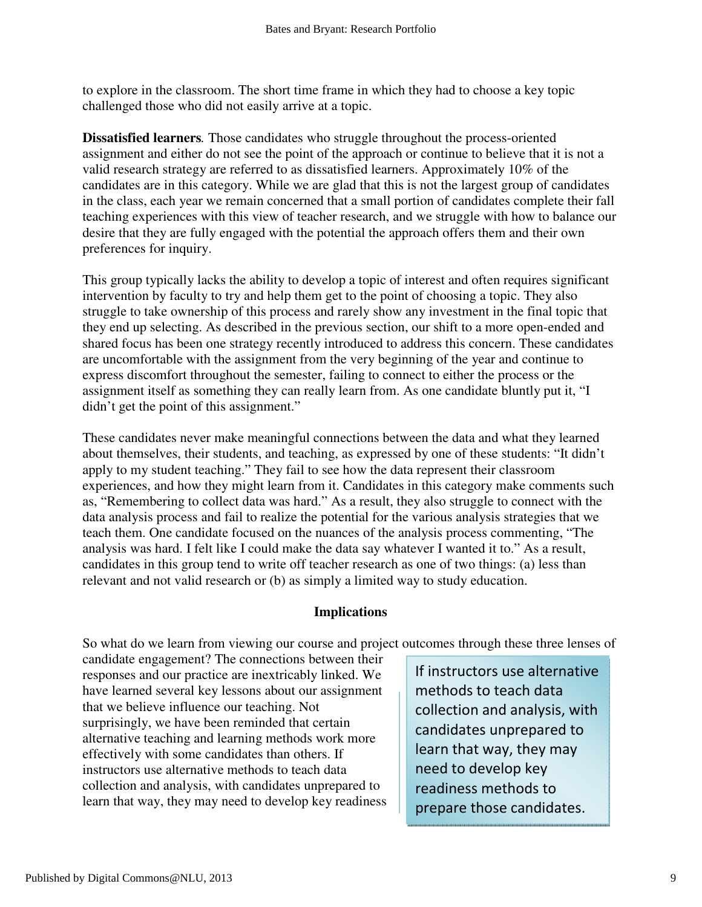to explore in the classroom. The short time frame in which they had to choose a key topic challenged those who did not easily arrive at a topic.

**Dissatisfied learners***.* Those candidates who struggle throughout the process-oriented assignment and either do not see the point of the approach or continue to believe that it is not a valid research strategy are referred to as dissatisfied learners. Approximately 10% of the candidates are in this category. While we are glad that this is not the largest group of candidates in the class, each year we remain concerned that a small portion of candidates complete their fall teaching experiences with this view of teacher research, and we struggle with how to balance our desire that they are fully engaged with the potential the approach offers them and their own preferences for inquiry.

This group typically lacks the ability to develop a topic of interest and often requires significant intervention by faculty to try and help them get to the point of choosing a topic. They also struggle to take ownership of this process and rarely show any investment in the final topic that they end up selecting. As described in the previous section, our shift to a more open-ended and shared focus has been one strategy recently introduced to address this concern. These candidates are uncomfortable with the assignment from the very beginning of the year and continue to express discomfort throughout the semester, failing to connect to either the process or the assignment itself as something they can really learn from. As one candidate bluntly put it, "I didn't get the point of this assignment."

These candidates never make meaningful connections between the data and what they learned about themselves, their students, and teaching, as expressed by one of these students: "It didn't apply to my student teaching." They fail to see how the data represent their classroom experiences, and how they might learn from it. Candidates in this category make comments such as, "Remembering to collect data was hard." As a result, they also struggle to connect with the data analysis process and fail to realize the potential for the various analysis strategies that we teach them. One candidate focused on the nuances of the analysis process commenting, "The analysis was hard. I felt like I could make the data say whatever I wanted it to." As a result, candidates in this group tend to write off teacher research as one of two things: (a) less than relevant and not valid research or (b) as simply a limited way to study education.

#### **Implications**

So what do we learn from viewing our course and project outcomes through these three lenses of

candidate engagement? The connections between their responses and our practice are inextricably linked. We have learned several key lessons about our assignment that we believe influence our teaching. Not surprisingly, we have been reminded that certain alternative teaching and learning methods work more effectively with some candidates than others. If instructors use alternative methods to teach data collection and analysis, with candidates unprepared to learn that way, they may need to develop key readiness

If instructors use alternative methods to teach data collection and analysis, with candidates unprepared to learn that way, they may need to develop key readiness methods to prepare those candidates.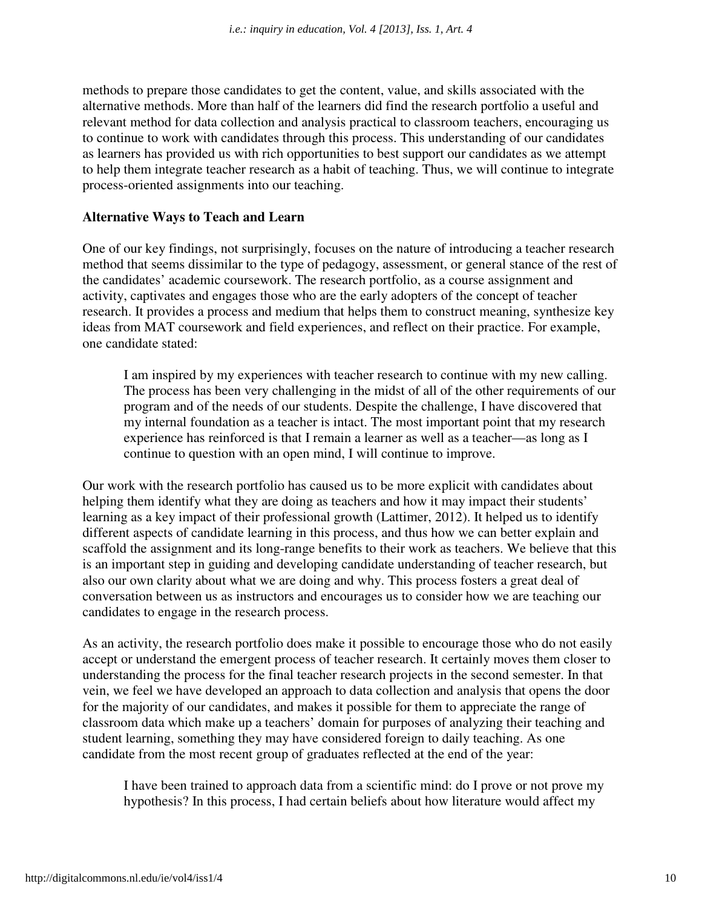methods to prepare those candidates to get the content, value, and skills associated with the alternative methods. More than half of the learners did find the research portfolio a useful and relevant method for data collection and analysis practical to classroom teachers, encouraging us to continue to work with candidates through this process. This understanding of our candidates as learners has provided us with rich opportunities to best support our candidates as we attempt to help them integrate teacher research as a habit of teaching. Thus, we will continue to integrate process-oriented assignments into our teaching.

#### **Alternative Ways to Teach and Learn**

One of our key findings, not surprisingly, focuses on the nature of introducing a teacher research method that seems dissimilar to the type of pedagogy, assessment, or general stance of the rest of the candidates' academic coursework. The research portfolio, as a course assignment and activity, captivates and engages those who are the early adopters of the concept of teacher research. It provides a process and medium that helps them to construct meaning, synthesize key ideas from MAT coursework and field experiences, and reflect on their practice. For example, one candidate stated:

I am inspired by my experiences with teacher research to continue with my new calling. The process has been very challenging in the midst of all of the other requirements of our program and of the needs of our students. Despite the challenge, I have discovered that my internal foundation as a teacher is intact. The most important point that my research experience has reinforced is that I remain a learner as well as a teacher—as long as I continue to question with an open mind, I will continue to improve.

Our work with the research portfolio has caused us to be more explicit with candidates about helping them identify what they are doing as teachers and how it may impact their students' learning as a key impact of their professional growth (Lattimer, 2012). It helped us to identify different aspects of candidate learning in this process, and thus how we can better explain and scaffold the assignment and its long-range benefits to their work as teachers. We believe that this is an important step in guiding and developing candidate understanding of teacher research, but also our own clarity about what we are doing and why. This process fosters a great deal of conversation between us as instructors and encourages us to consider how we are teaching our candidates to engage in the research process.

As an activity, the research portfolio does make it possible to encourage those who do not easily accept or understand the emergent process of teacher research. It certainly moves them closer to understanding the process for the final teacher research projects in the second semester. In that vein, we feel we have developed an approach to data collection and analysis that opens the door for the majority of our candidates, and makes it possible for them to appreciate the range of classroom data which make up a teachers' domain for purposes of analyzing their teaching and student learning, something they may have considered foreign to daily teaching. As one candidate from the most recent group of graduates reflected at the end of the year:

I have been trained to approach data from a scientific mind: do I prove or not prove my hypothesis? In this process, I had certain beliefs about how literature would affect my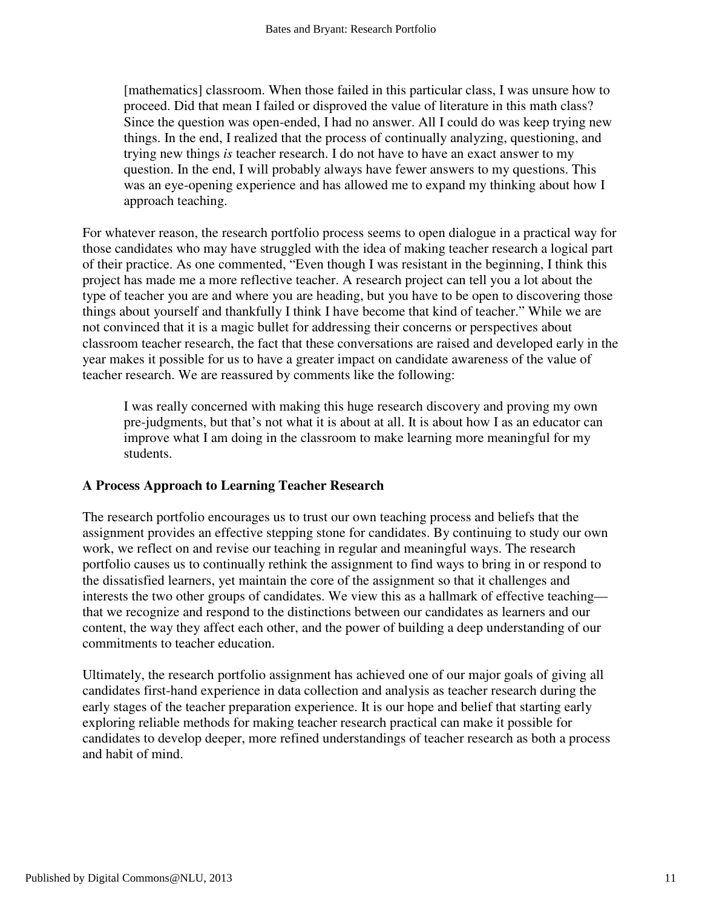[mathematics] classroom. When those failed in this particular class, I was unsure how to proceed. Did that mean I failed or disproved the value of literature in this math class? Since the question was open-ended, I had no answer. All I could do was keep trying new things. In the end, I realized that the process of continually analyzing, questioning, and trying new things *is* teacher research. I do not have to have an exact answer to my question. In the end, I will probably always have fewer answers to my questions. This was an eye-opening experience and has allowed me to expand my thinking about how I approach teaching.

For whatever reason, the research portfolio process seems to open dialogue in a practical way for those candidates who may have struggled with the idea of making teacher research a logical part of their practice. As one commented, "Even though I was resistant in the beginning, I think this project has made me a more reflective teacher. A research project can tell you a lot about the type of teacher you are and where you are heading, but you have to be open to discovering those things about yourself and thankfully I think I have become that kind of teacher." While we are not convinced that it is a magic bullet for addressing their concerns or perspectives about classroom teacher research, the fact that these conversations are raised and developed early in the year makes it possible for us to have a greater impact on candidate awareness of the value of teacher research. We are reassured by comments like the following:

I was really concerned with making this huge research discovery and proving my own pre-judgments, but that's not what it is about at all. It is about how I as an educator can improve what I am doing in the classroom to make learning more meaningful for my students.

#### **A Process Approach to Learning Teacher Research**

The research portfolio encourages us to trust our own teaching process and beliefs that the assignment provides an effective stepping stone for candidates. By continuing to study our own work, we reflect on and revise our teaching in regular and meaningful ways. The research portfolio causes us to continually rethink the assignment to find ways to bring in or respond to the dissatisfied learners, yet maintain the core of the assignment so that it challenges and interests the two other groups of candidates. We view this as a hallmark of effective teaching that we recognize and respond to the distinctions between our candidates as learners and our content, the way they affect each other, and the power of building a deep understanding of our commitments to teacher education.

Ultimately, the research portfolio assignment has achieved one of our major goals of giving all candidates first-hand experience in data collection and analysis as teacher research during the early stages of the teacher preparation experience. It is our hope and belief that starting early exploring reliable methods for making teacher research practical can make it possible for candidates to develop deeper, more refined understandings of teacher research as both a process and habit of mind.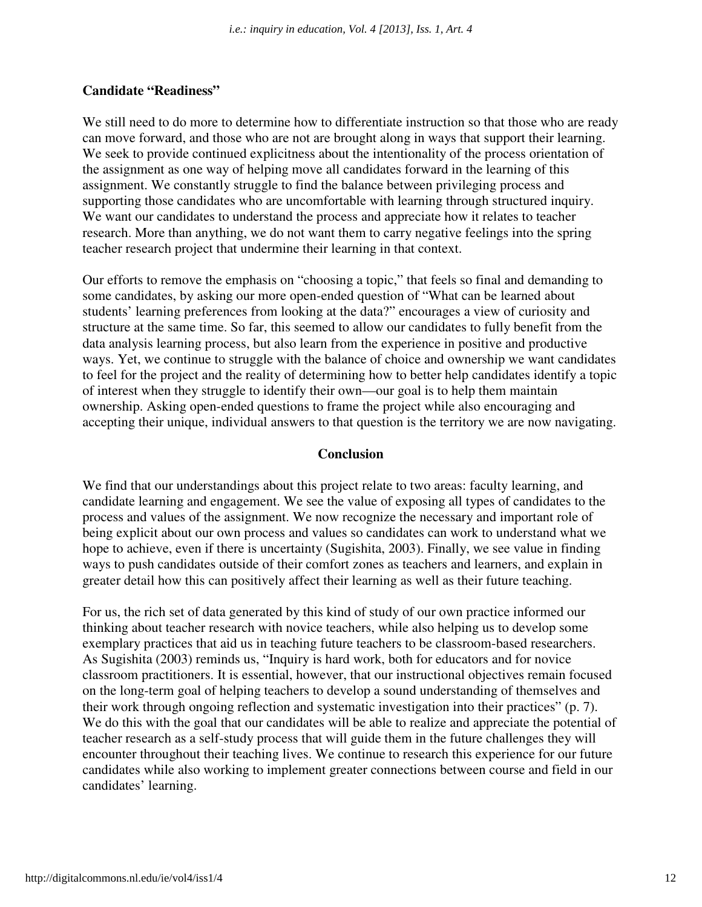#### **Candidate "Readiness"**

We still need to do more to determine how to differentiate instruction so that those who are ready can move forward, and those who are not are brought along in ways that support their learning. We seek to provide continued explicitness about the intentionality of the process orientation of the assignment as one way of helping move all candidates forward in the learning of this assignment. We constantly struggle to find the balance between privileging process and supporting those candidates who are uncomfortable with learning through structured inquiry. We want our candidates to understand the process and appreciate how it relates to teacher research. More than anything, we do not want them to carry negative feelings into the spring teacher research project that undermine their learning in that context.

Our efforts to remove the emphasis on "choosing a topic," that feels so final and demanding to some candidates, by asking our more open-ended question of "What can be learned about students' learning preferences from looking at the data?" encourages a view of curiosity and structure at the same time. So far, this seemed to allow our candidates to fully benefit from the data analysis learning process, but also learn from the experience in positive and productive ways. Yet, we continue to struggle with the balance of choice and ownership we want candidates to feel for the project and the reality of determining how to better help candidates identify a topic of interest when they struggle to identify their own—our goal is to help them maintain ownership. Asking open-ended questions to frame the project while also encouraging and accepting their unique, individual answers to that question is the territory we are now navigating.

#### **Conclusion**

We find that our understandings about this project relate to two areas: faculty learning, and candidate learning and engagement. We see the value of exposing all types of candidates to the process and values of the assignment. We now recognize the necessary and important role of being explicit about our own process and values so candidates can work to understand what we hope to achieve, even if there is uncertainty (Sugishita, 2003). Finally, we see value in finding ways to push candidates outside of their comfort zones as teachers and learners, and explain in greater detail how this can positively affect their learning as well as their future teaching.

For us, the rich set of data generated by this kind of study of our own practice informed our thinking about teacher research with novice teachers, while also helping us to develop some exemplary practices that aid us in teaching future teachers to be classroom-based researchers. As Sugishita (2003) reminds us, "Inquiry is hard work, both for educators and for novice classroom practitioners. It is essential, however, that our instructional objectives remain focused on the long-term goal of helping teachers to develop a sound understanding of themselves and their work through ongoing reflection and systematic investigation into their practices" (p. 7). We do this with the goal that our candidates will be able to realize and appreciate the potential of teacher research as a self-study process that will guide them in the future challenges they will encounter throughout their teaching lives. We continue to research this experience for our future candidates while also working to implement greater connections between course and field in our candidates' learning.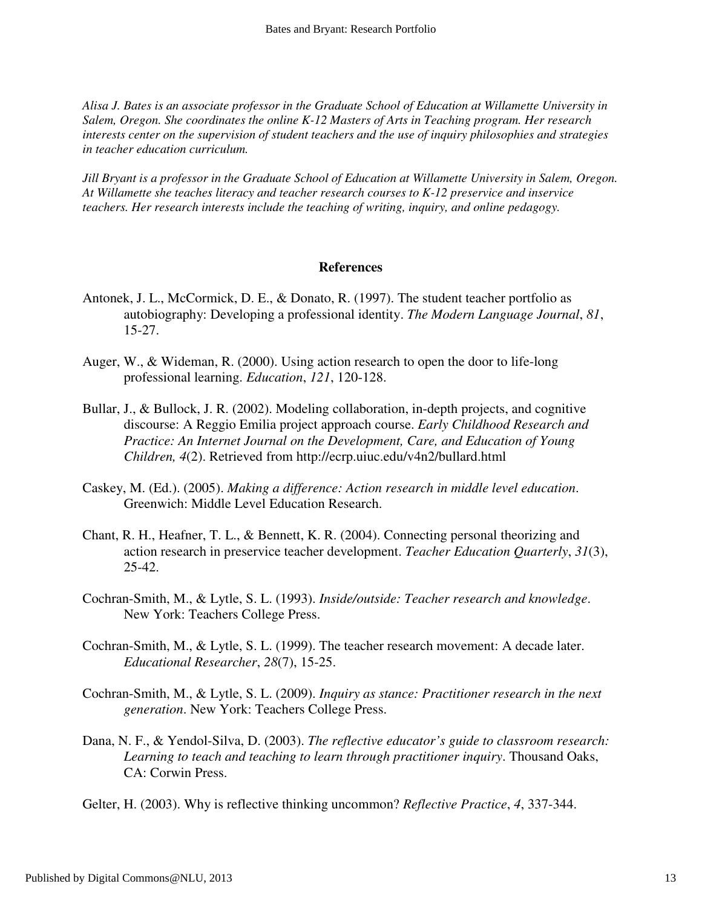*Alisa J. Bates is an associate professor in the Graduate School of Education at Willamette University in Salem, Oregon. She coordinates the online K-12 Masters of Arts in Teaching program. Her research interests center on the supervision of student teachers and the use of inquiry philosophies and strategies in teacher education curriculum.* 

*Jill Bryant is a professor in the Graduate School of Education at Willamette University in Salem, Oregon. At Willamette she teaches literacy and teacher research courses to K-12 preservice and inservice teachers. Her research interests include the teaching of writing, inquiry, and online pedagogy.* 

#### **References**

- Antonek, J. L., McCormick, D. E., & Donato, R. (1997). The student teacher portfolio as autobiography: Developing a professional identity. *The Modern Language Journal*, *81*, 15-27.
- Auger, W., & Wideman, R. (2000). Using action research to open the door to life-long professional learning. *Education*, *121*, 120-128.
- Bullar, J., & Bullock, J. R. (2002). Modeling collaboration, in-depth projects, and cognitive discourse: A Reggio Emilia project approach course. *Early Childhood Research and Practice: An Internet Journal on the Development, Care, and Education of Young Children, 4*(2). Retrieved from http://ecrp.uiuc.edu/v4n2/bullard.html
- Caskey, M. (Ed.). (2005). *Making a difference: Action research in middle level education*. Greenwich: Middle Level Education Research.
- Chant, R. H., Heafner, T. L., & Bennett, K. R. (2004). Connecting personal theorizing and action research in preservice teacher development. *Teacher Education Quarterly*, *31*(3), 25-42.
- Cochran-Smith, M., & Lytle, S. L. (1993). *Inside/outside: Teacher research and knowledge*. New York: Teachers College Press.
- Cochran-Smith, M., & Lytle, S. L. (1999). The teacher research movement: A decade later. *Educational Researcher*, *28*(7), 15-25.
- Cochran-Smith, M., & Lytle, S. L. (2009). *Inquiry as stance: Practitioner research in the next generation*. New York: Teachers College Press.
- Dana, N. F., & Yendol-Silva, D. (2003). *The reflective educator's guide to classroom research: Learning to teach and teaching to learn through practitioner inquiry*. Thousand Oaks, CA: Corwin Press.
- Gelter, H. (2003). Why is reflective thinking uncommon? *Reflective Practice*, *4*, 337-344.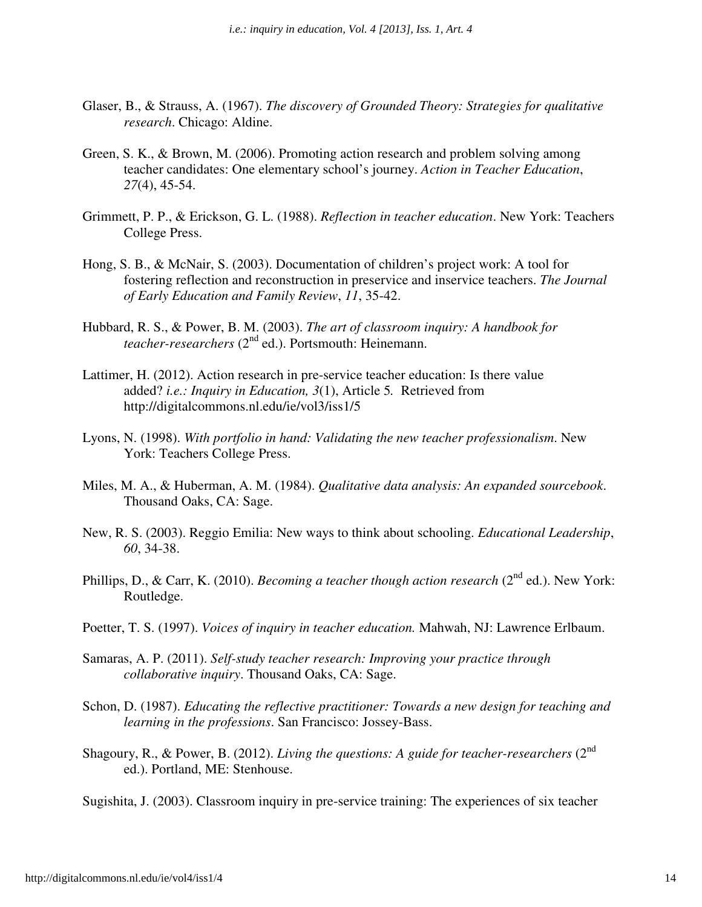- Glaser, B., & Strauss, A. (1967). *The discovery of Grounded Theory: Strategies for qualitative research*. Chicago: Aldine.
- Green, S. K., & Brown, M. (2006). Promoting action research and problem solving among teacher candidates: One elementary school's journey. *Action in Teacher Education*, *27*(4), 45-54.
- Grimmett, P. P., & Erickson, G. L. (1988). *Reflection in teacher education*. New York: Teachers College Press.
- Hong, S. B., & McNair, S. (2003). Documentation of children's project work: A tool for fostering reflection and reconstruction in preservice and inservice teachers. *The Journal of Early Education and Family Review*, *11*, 35-42.
- Hubbard, R. S., & Power, B. M. (2003). *The art of classroom inquiry: A handbook for teacher-researchers* (2nd ed.). Portsmouth: Heinemann.
- Lattimer, H. (2012). Action research in pre-service teacher education: Is there value added? *i.e.: Inquiry in Education, 3*(1), Article 5*.* Retrieved from http://digitalcommons.nl.edu/ie/vol3/iss1/5
- Lyons, N. (1998). *With portfolio in hand: Validating the new teacher professionalism*. New York: Teachers College Press.
- Miles, M. A., & Huberman, A. M. (1984). *Qualitative data analysis: An expanded sourcebook*. Thousand Oaks, CA: Sage.
- New, R. S. (2003). Reggio Emilia: New ways to think about schooling. *Educational Leadership*, *60*, 34-38.
- Phillips, D., & Carr, K. (2010). *Becoming a teacher though action research* (2<sup>nd</sup> ed.). New York: Routledge.
- Poetter, T. S. (1997). *Voices of inquiry in teacher education.* Mahwah, NJ: Lawrence Erlbaum.
- Samaras, A. P. (2011). *Self-study teacher research: Improving your practice through collaborative inquiry*. Thousand Oaks, CA: Sage.
- Schon, D. (1987). *Educating the reflective practitioner: Towards a new design for teaching and learning in the professions*. San Francisco: Jossey-Bass.
- Shagoury, R., & Power, B. (2012). *Living the questions: A guide for teacher-researchers* (2<sup>nd</sup> ed.). Portland, ME: Stenhouse.
- Sugishita, J. (2003). Classroom inquiry in pre-service training: The experiences of six teacher